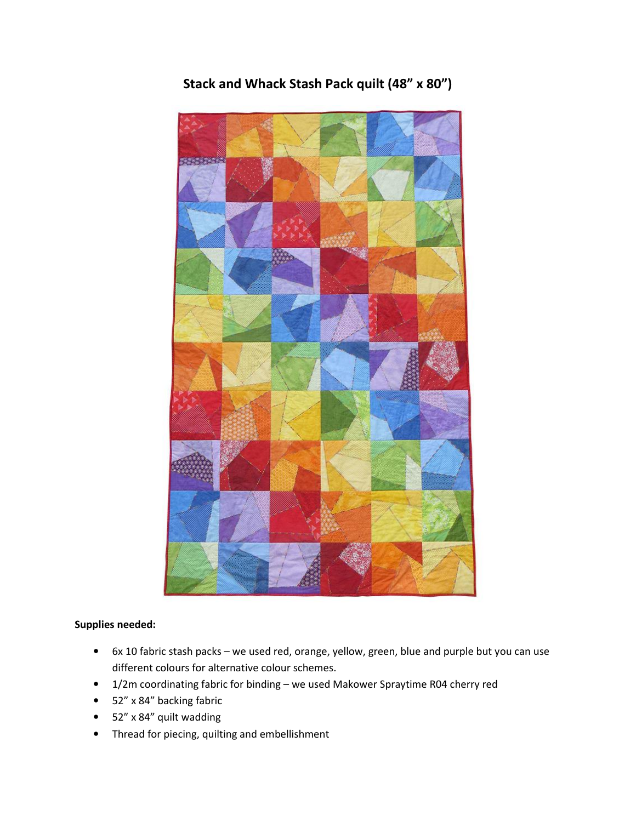

Stack and Whack Stash Pack quilt (48" x 80")

## Supplies needed:

- 6x 10 fabric stash packs we used red, orange, yellow, green, blue and purple but you can use different colours for alternative colour schemes.
- 1/2m coordinating fabric for binding we used Makower Spraytime R04 cherry red
- 52" x 84" backing fabric
- 52" x 84" quilt wadding
- Thread for piecing, quilting and embellishment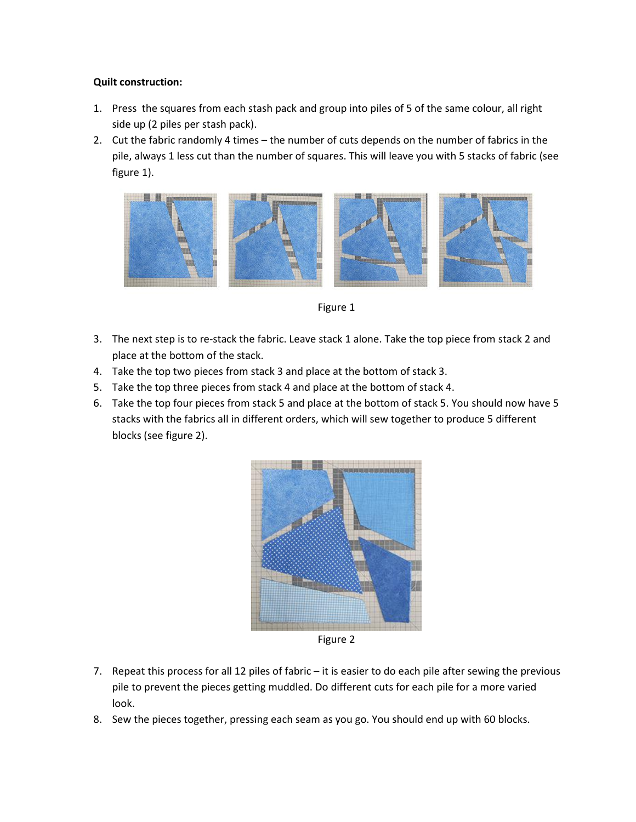## Quilt construction:

- 1. Press the squares from each stash pack and group into piles of 5 of the same colour, all right side up (2 piles per stash pack).
- 2. Cut the fabric randomly 4 times the number of cuts depends on the number of fabrics in the pile, always 1 less cut than the number of squares. This will leave you with 5 stacks of fabric (see figure 1).



Figure 1

- 3. The next step is to re-stack the fabric. Leave stack 1 alone. Take the top piece from stack 2 and place at the bottom of the stack.
- 4. Take the top two pieces from stack 3 and place at the bottom of stack 3.
- 5. Take the top three pieces from stack 4 and place at the bottom of stack 4.
- 6. Take the top four pieces from stack 5 and place at the bottom of stack 5. You should now have 5 stacks with the fabrics all in different orders, which will sew together to produce 5 different blocks (see figure 2).



Figure 2

- 7. Repeat this process for all 12 piles of fabric it is easier to do each pile after sewing the previous pile to prevent the pieces getting muddled. Do different cuts for each pile for a more varied look.
- 8. Sew the pieces together, pressing each seam as you go. You should end up with 60 blocks.